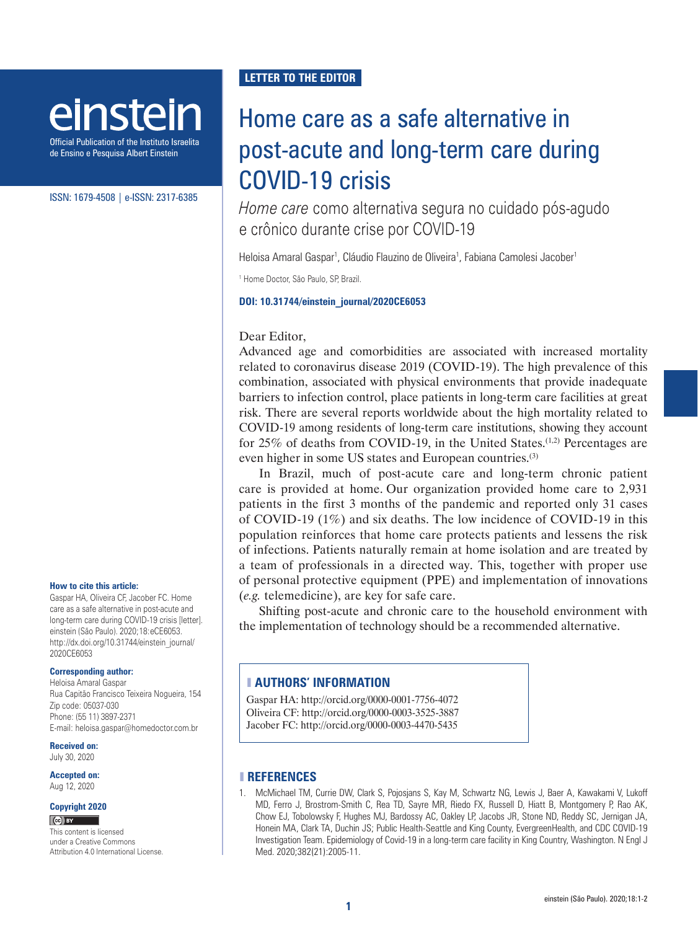# einstein

Official Publication of the Instituto Israelita de Ensino e Pesquisa Albert Einstein

ISSN: 1679-4508 | e-ISSN: 2317-6385

### **How to cite this article:**

Gaspar HA, Oliveira CF, Jacober FC. Home care as a safe alternative in post-acute and long-term care during COVID-19 crisis [letter]. einstein (São Paulo). 2020;18:eCE6053. http://dx.doi.org/10.31744/einstein\_journal/ 2020CE6053

#### **Corresponding author:**

Heloisa Amaral Gaspar Rua Capitão Francisco Teixeira Nogueira, 154 Zip code: 05037-030 Phone: (55 11) 3897-2371 E-mail: heloisa.gaspar@homedoctor.com.br

### **Received on:**

July 30, 2020

**Accepted on:** Aug 12, 2020

### **Copyright 2020**

 $(c)$  BY

This content is licensed under a Creative Commons Attribution 4.0 International License.

## **LETTER TO THE EDITOR**

# Home care as a safe alternative in post-acute and long-term care during COVID-19 crisis

*Home care* como alternativa segura no cuidado pós-agudo e crônico durante crise por COVID-19

Heloisa Amaral Gaspar<sup>1</sup>, Cláudio Flauzino de Oliveira<sup>1</sup>, Fabiana Camolesi Jacober<sup>1</sup>

1 Home Doctor, São Paulo, SP, Brazil.

### **DOI: 10.31744/einstein\_journal/2020CE6053**

### Dear Editor,

Advanced age and comorbidities are associated with increased mortality related to coronavirus disease 2019 (COVID-19). The high prevalence of this combination, associated with physical environments that provide inadequate barriers to infection control, place patients in long-term care facilities at great risk. There are several reports worldwide about the high mortality related to COVID-19 among residents of long-term care institutions, showing they account for 25% of deaths from COVID-19, in the United States.<sup>(1,2)</sup> Percentages are even higher in some US states and European countries.<sup>(3)</sup>

In Brazil, much of post-acute care and long-term chronic patient care is provided at home. Our organization provided home care to 2,931 patients in the first 3 months of the pandemic and reported only 31 cases of COVID-19 (1%) and six deaths. The low incidence of COVID-19 in this population reinforces that home care protects patients and lessens the risk of infections. Patients naturally remain at home isolation and are treated by a team of professionals in a directed way. This, together with proper use of personal protective equipment (PPE) and implementation of innovations (*e.g.* telemedicine), are key for safe care.

Shifting post-acute and chronic care to the household environment with the implementation of technology should be a recommended alternative.

### ❚ **AUTHORS' INFORMATION**

Gaspar HA: http://orcid.org/0000-0001-7756-4072 Oliveira CF: http://orcid.org/0000-0003-3525-3887 Jacober FC: http://orcid.org/0000-0003-4470-5435

### ❚ **REFERENCES**

1. McMichael TM, Currie DW, Clark S, Pojosjans S, Kay M, Schwartz NG, Lewis J, Baer A, Kawakami V, Lukoff MD, Ferro J, Brostrom-Smith C, Rea TD, Sayre MR, Riedo FX, Russell D, Hiatt B, Montgomery P, Rao AK, Chow EJ, Tobolowsky F, Hughes MJ, Bardossy AC, Oakley LP, Jacobs JR, Stone ND, Reddy SC, Jernigan JA, Honein MA, Clark TA, Duchin JS; Public Health-Seattle and King County, EvergreenHealth, and CDC COVID-19 Investigation Team. Epidemiology of Covid-19 in a long-term care facility in King Country, Washington. N Engl J Med. 2020;382(21):2005-11.